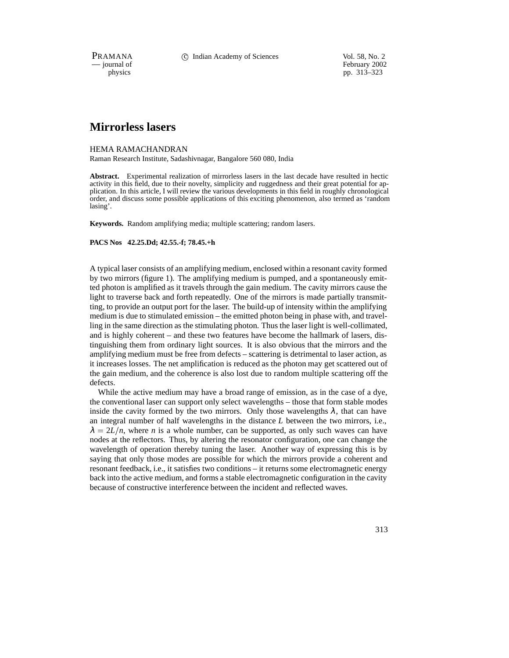PRAMANA c Indian Academy of Sciences Vol. 58, No. 2

physics<br>
pp. 313–323<br>
pp. 313–323 pp. 313–323

# **Mirrorless lasers**

### HEMA RAMACHANDRAN

Raman Research Institute, Sadashivnagar, Bangalore 560 080, India

**Abstract.** Experimental realization of mirrorless lasers in the last decade have resulted in hectic activity in this field, due to their novelty, simplicity and ruggedness and their great potential for application. In this article, I will review the various developments in this field in roughly chronological order, and discuss some possible applications of this exciting phenomenon, also termed as 'random lasing'.

**Keywords.** Random amplifying media; multiple scattering; random lasers.

#### **PACS Nos 42.25.Dd; 42.55.-f; 78.45.+h**

A typical laser consists of an amplifying medium, enclosed within a resonant cavity formed by two mirrors (figure 1). The amplifying medium is pumped, and a spontaneously emitted photon is amplified as it travels through the gain medium. The cavity mirrors cause the light to traverse back and forth repeatedly. One of the mirrors is made partially transmitting, to provide an output port for the laser. The build-up of intensity within the amplifying medium is due to stimulated emission – the emitted photon being in phase with, and travelling in the same direction as the stimulating photon. Thus the laser light is well-collimated, and is highly coherent – and these two features have become the hallmark of lasers, distinguishing them from ordinary light sources. It is also obvious that the mirrors and the amplifying medium must be free from defects – scattering is detrimental to laser action, as it increases losses. The net amplification is reduced as the photon may get scattered out of the gain medium, and the coherence is also lost due to random multiple scattering off the defects.

While the active medium may have a broad range of emission, as in the case of a dye, the conventional laser can support only select wavelengths – those that form stable modes inside the cavity formed by the two mirrors. Only those wavelengths  $\lambda$ , that can have an integral number of half wavelengths in the distance *L* between the two mirrors, i.e.,  $\lambda = 2L/n$ , where *n* is a whole number, can be supported, as only such waves can have nodes at the reflectors. Thus, by altering the resonator configuration, one can change the wavelength of operation thereby tuning the laser. Another way of expressing this is by saying that only those modes are possible for which the mirrors provide a coherent and resonant feedback, i.e., it satisfies two conditions – it returns some electromagnetic energy back into the active medium, and forms a stable electromagnetic configuration in the cavity because of constructive interference between the incident and reflected waves.

313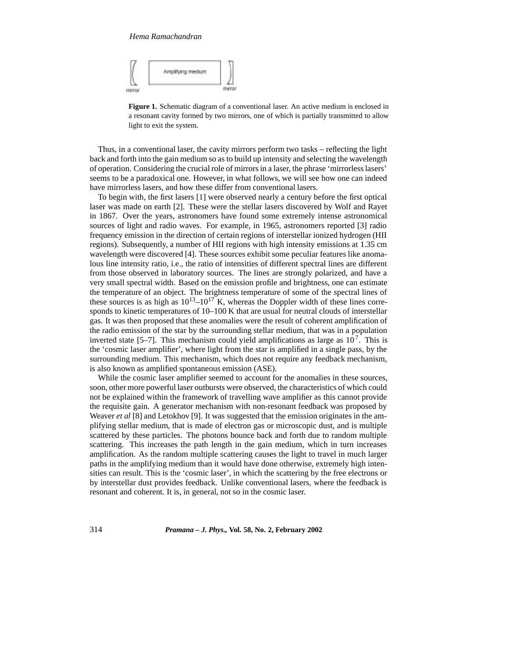

**Figure 1.** Schematic diagram of a conventional laser. An active medium is enclosed in a resonant cavity formed by two mirrors, one of which is partially transmitted to allow light to exit the system.

Thus, in a conventional laser, the cavity mirrors perform two tasks – reflecting the light back and forth into the gain medium so as to build up intensity and selecting the wavelength of operation. Considering the crucial role of mirrors in a laser, the phrase 'mirrorless lasers' seems to be a paradoxical one. However, in what follows, we will see how one can indeed have mirrorless lasers, and how these differ from conventional lasers.

To begin with, the first lasers [1] were observed nearly a century before the first optical laser was made on earth [2]. These were the stellar lasers discovered by Wolf and Rayet in 1867. Over the years, astronomers have found some extremely intense astronomical sources of light and radio waves. For example, in 1965, astronomers reported [3] radio frequency emission in the direction of certain regions of interstellar ionized hydrogen (HII regions). Subsequently, a number of HII regions with high intensity emissions at 1.35 cm wavelength were discovered [4]. These sources exhibit some peculiar features like anomalous line intensity ratio, i.e., the ratio of intensities of different spectral lines are different from those observed in laboratory sources. The lines are strongly polarized, and have a very small spectral width. Based on the emission profile and brightness, one can estimate the temperature of an object. The brightness temperature of some of the spectral lines of these sources is as high as  $10^{13}$ – $10^{17}$  K, whereas the Doppler width of these lines corresponds to kinetic temperatures of  $10-100$  K that are usual for neutral clouds of interstellar gas. It was then proposed that these anomalies were the result of coherent amplification of the radio emission of the star by the surrounding stellar medium, that was in a population inverted state [5–7]. This mechanism could yield amplifications as large as  $10^7$ . This is the 'cosmic laser amplifier', where light from the star is amplified in a single pass, by the surrounding medium. This mechanism, which does not require any feedback mechanism, is also known as amplified spontaneous emission (ASE).

While the cosmic laser amplifier seemed to account for the anomalies in these sources, soon, other more powerful laser outbursts were observed, the characteristics of which could not be explained within the framework of travelling wave amplifier as this cannot provide the requisite gain. A generator mechanism with non-resonant feedback was proposed by Weaver *et al* [8] and Letokhov [9]. It was suggested that the emission originates in the amplifying stellar medium, that is made of electron gas or microscopic dust, and is multiple scattered by these particles. The photons bounce back and forth due to random multiple scattering. This increases the path length in the gain medium, which in turn increases amplification. As the random multiple scattering causes the light to travel in much larger paths in the amplifying medium than it would have done otherwise, extremely high intensities can result. This is the 'cosmic laser', in which the scattering by the free electrons or by interstellar dust provides feedback. Unlike conventional lasers, where the feedback is resonant and coherent. It is, in general, not so in the cosmic laser.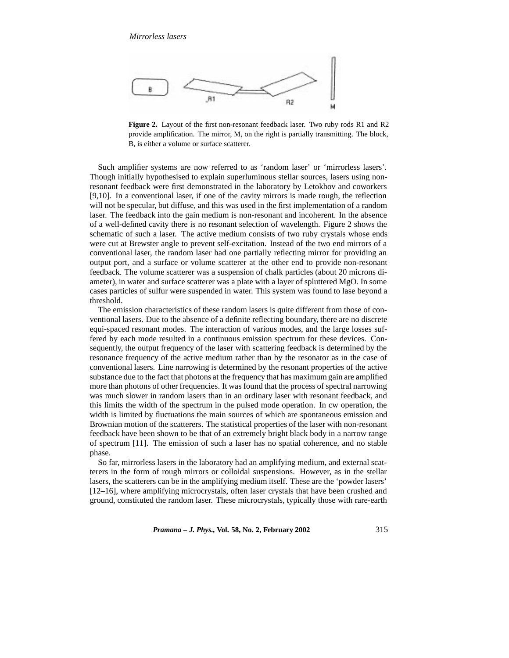

**Figure 2.** Layout of the first non-resonant feedback laser. Two ruby rods R1 and R2 provide amplification. The mirror, M, on the right is partially transmitting. The block, B, is either a volume or surface scatterer.

Such amplifier systems are now referred to as 'random laser' or 'mirrorless lasers'. Though initially hypothesised to explain superluminous stellar sources, lasers using nonresonant feedback were first demonstrated in the laboratory by Letokhov and coworkers [9,10]. In a conventional laser, if one of the cavity mirrors is made rough, the reflection will not be specular, but diffuse, and this was used in the first implementation of a random laser. The feedback into the gain medium is non-resonant and incoherent. In the absence of a well-defined cavity there is no resonant selection of wavelength. Figure 2 shows the schematic of such a laser. The active medium consists of two ruby crystals whose ends were cut at Brewster angle to prevent self-excitation. Instead of the two end mirrors of a conventional laser, the random laser had one partially reflecting mirror for providing an output port, and a surface or volume scatterer at the other end to provide non-resonant feedback. The volume scatterer was a suspension of chalk particles (about 20 microns diameter), in water and surface scatterer was a plate with a layer of spluttered MgO. In some cases particles of sulfur were suspended in water. This system was found to lase beyond a threshold.

The emission characteristics of these random lasers is quite different from those of conventional lasers. Due to the absence of a definite reflecting boundary, there are no discrete equi-spaced resonant modes. The interaction of various modes, and the large losses suffered by each mode resulted in a continuous emission spectrum for these devices. Consequently, the output frequency of the laser with scattering feedback is determined by the resonance frequency of the active medium rather than by the resonator as in the case of conventional lasers. Line narrowing is determined by the resonant properties of the active substance due to the fact that photons at the frequency that has maximum gain are amplified more than photons of other frequencies. It was found that the process of spectral narrowing was much slower in random lasers than in an ordinary laser with resonant feedback, and this limits the width of the spectrum in the pulsed mode operation. In cw operation, the width is limited by fluctuations the main sources of which are spontaneous emission and Brownian motion of the scatterers. The statistical properties of the laser with non-resonant feedback have been shown to be that of an extremely bright black body in a narrow range of spectrum [11]. The emission of such a laser has no spatial coherence, and no stable phase.

So far, mirrorless lasers in the laboratory had an amplifying medium, and external scatterers in the form of rough mirrors or colloidal suspensions. However, as in the stellar lasers, the scatterers can be in the amplifying medium itself. These are the 'powder lasers' [12–16], where amplifying microcrystals, often laser crystals that have been crushed and ground, constituted the random laser. These microcrystals, typically those with rare-earth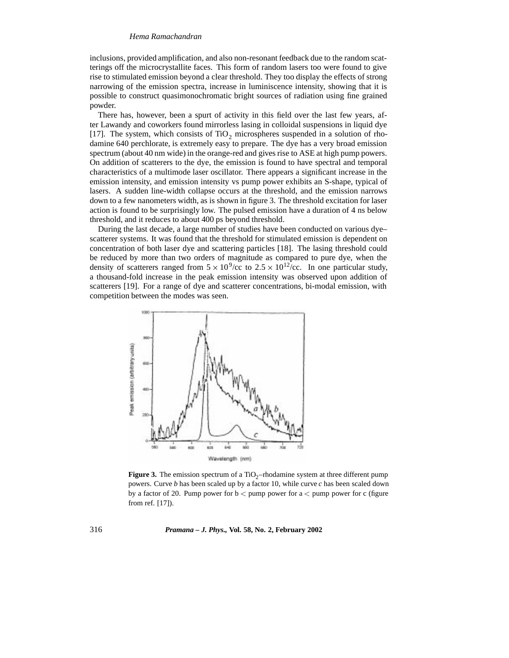inclusions, provided amplification, and also non-resonant feedback due to the random scatterings off the microcrystallite faces. This form of random lasers too were found to give rise to stimulated emission beyond a clear threshold. They too display the effects of strong narrowing of the emission spectra, increase in luminiscence intensity, showing that it is possible to construct quasimonochromatic bright sources of radiation using fine grained powder.

There has, however, been a spurt of activity in this field over the last few years, after Lawandy and coworkers found mirrorless lasing in colloidal suspensions in liquid dye [17]. The system, which consists of  $TiO<sub>2</sub>$  microspheres suspended in a solution of rhodamine 640 perchlorate, is extremely easy to prepare. The dye has a very broad emission spectrum (about 40 nm wide) in the orange-red and gives rise to ASE at high pump powers. On addition of scatterers to the dye, the emission is found to have spectral and temporal characteristics of a multimode laser oscillator. There appears a significant increase in the emission intensity, and emission intensity vs pump power exhibits an S-shape, typical of lasers. A sudden line-width collapse occurs at the threshold, and the emission narrows down to a few nanometers width, as is shown in figure 3. The threshold excitation for laser action is found to be surprisingly low. The pulsed emission have a duration of 4 ns below threshold, and it reduces to about 400 ps beyond threshold.

During the last decade, a large number of studies have been conducted on various dye– scatterer systems. It was found that the threshold for stimulated emission is dependent on concentration of both laser dye and scattering particles [18]. The lasing threshold could be reduced by more than two orders of magnitude as compared to pure dye, when the density of scatterers ranged from  $5 \times 10^9$ /cc to  $2.5 \times 10^{12}$ /cc. In one particular study, a thousand-fold increase in the peak emission intensity was observed upon addition of scatterers [19]. For a range of dye and scatterer concentrations, bi-modal emission, with competition between the modes was seen.



**Figure 3.** The emission spectrum of a  $TiO<sub>2</sub>$ –rhodamine system at three different pump powers. Curve *b* has been scaled up by a factor 10, while curve *c* has been scaled down by a factor of 20. Pump power for  $b <$  pump power for  $a <$  pump power for c (figure from ref. [17]).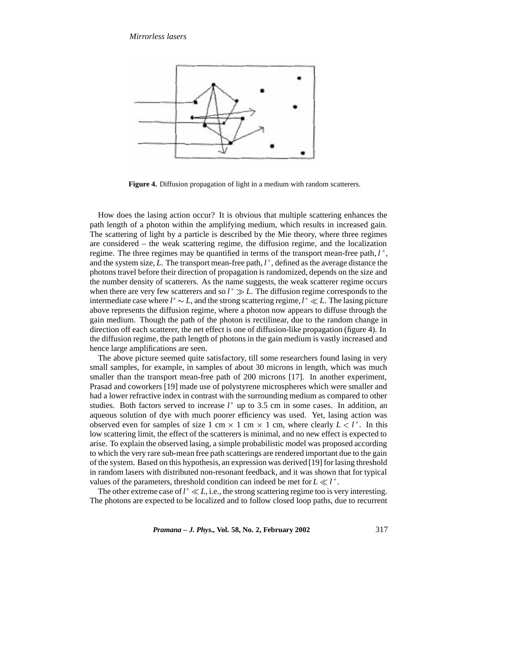

**Figure 4.** Diffusion propagation of light in a medium with random scatterers.

How does the lasing action occur? It is obvious that multiple scattering enhances the path length of a photon within the amplifying medium, which results in increased gain. The scattering of light by a particle is described by the Mie theory, where three regimes are considered – the weak scattering regime, the diffusion regime, and the localization regime. The three regimes may be quantified in terms of the transport mean-free path,  $l^*$ , and the system size, *L*. The transport mean-free path,  $l^*$ , defined as the average distance the photons travel before their direction of propagation is randomized, depends on the size and the number density of scatterers. As the name suggests, the weak scatterer regime occurs when there are very few scatterers and so  $l^* \gg L$ . The diffusion regime corresponds to the intermediate case where  $l^* \sim L$ , and the strong scattering regime,  $l^* \ll L$ . The lasing picture above represents the diffusion regime, where a photon now appears to diffuse through the gain medium. Though the path of the photon is rectilinear, due to the random change in direction off each scatterer, the net effect is one of diffusion-like propagation (figure 4). In the diffusion regime, the path length of photons in the gain medium is vastly increased and hence large amplifications are seen.

The above picture seemed quite satisfactory, till some researchers found lasing in very small samples, for example, in samples of about 30 microns in length, which was much smaller than the transport mean-free path of 200 microns [17]. In another experiment, Prasad and coworkers [19] made use of polystyrene microspheres which were smaller and had a lower refractive index in contrast with the surrounding medium as compared to other studies. Both factors served to increase  $l^*$  up to 3.5 cm in some cases. In addition, an aqueous solution of dye with much poorer efficiency was used. Yet, lasing action was observed even for samples of size 1 cm  $\times$  1 cm  $\times$  1 cm, where clearly  $L < l^*$ . In this low scattering limit, the effect of the scatterers is minimal, and no new effect is expected to arise. To explain the observed lasing, a simple probabilistic model was proposed according to which the very rare sub-mean free path scatterings are rendered important due to the gain of the system. Based on this hypothesis, an expression was derived [19] for lasing threshold in random lasers with distributed non-resonant feedback, and it was shown that for typical values of the parameters, threshold condition can indeed be met for  $L \ll l^*$ .

The other extreme case of  $l^* \ll L$ , i.e., the strong scattering regime too is very interesting. The photons are expected to be localized and to follow closed loop paths, due to recurrent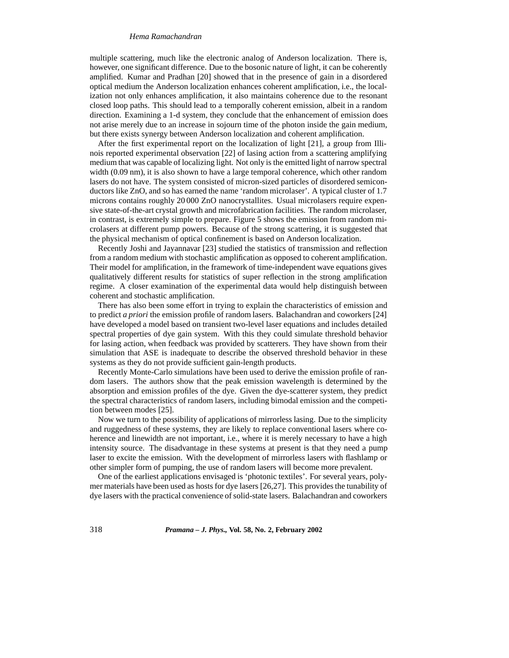multiple scattering, much like the electronic analog of Anderson localization. There is, however, one significant difference. Due to the bosonic nature of light, it can be coherently amplified. Kumar and Pradhan [20] showed that in the presence of gain in a disordered optical medium the Anderson localization enhances coherent amplification, i.e., the localization not only enhances amplification, it also maintains coherence due to the resonant closed loop paths. This should lead to a temporally coherent emission, albeit in a random direction. Examining a 1-d system, they conclude that the enhancement of emission does not arise merely due to an increase in sojourn time of the photon inside the gain medium, but there exists synergy between Anderson localization and coherent amplification.

After the first experimental report on the localization of light [21], a group from Illinois reported experimental observation [22] of lasing action from a scattering amplifying medium that was capable of localizing light. Not only is the emitted light of narrow spectral width (0.09 nm), it is also shown to have a large temporal coherence, which other random lasers do not have. The system consisted of micron-sized particles of disordered semiconductors like ZnO, and so has earned the name 'random microlaser'. A typical cluster of 1.7 microns contains roughly 20 000 ZnO nanocrystallites. Usual microlasers require expensive state-of-the-art crystal growth and microfabrication facilities. The random microlaser, in contrast, is extremely simple to prepare. Figure 5 shows the emission from random microlasers at different pump powers. Because of the strong scattering, it is suggested that the physical mechanism of optical confinement is based on Anderson localization.

Recently Joshi and Jayannavar [23] studied the statistics of transmission and reflection from a random medium with stochastic amplification as opposed to coherent amplification. Their model for amplification, in the framework of time-independent wave equations gives qualitatively different results for statistics of super reflection in the strong amplification regime. A closer examination of the experimental data would help distinguish between coherent and stochastic amplification.

There has also been some effort in trying to explain the characteristics of emission and to predict *a priori* the emission profile of random lasers. Balachandran and coworkers [24] have developed a model based on transient two-level laser equations and includes detailed spectral properties of dye gain system. With this they could simulate threshold behavior for lasing action, when feedback was provided by scatterers. They have shown from their simulation that ASE is inadequate to describe the observed threshold behavior in these systems as they do not provide sufficient gain-length products.

Recently Monte-Carlo simulations have been used to derive the emission profile of random lasers. The authors show that the peak emission wavelength is determined by the absorption and emission profiles of the dye. Given the dye-scatterer system, they predict the spectral characteristics of random lasers, including bimodal emission and the competition between modes [25].

Now we turn to the possibility of applications of mirrorless lasing. Due to the simplicity and ruggedness of these systems, they are likely to replace conventional lasers where coherence and linewidth are not important, i.e., where it is merely necessary to have a high intensity source. The disadvantage in these systems at present is that they need a pump laser to excite the emission. With the development of mirrorless lasers with flashlamp or other simpler form of pumping, the use of random lasers will become more prevalent.

One of the earliest applications envisaged is 'photonic textiles'. For several years, polymer materials have been used as hosts for dye lasers [26,27]. This provides the tunability of dye lasers with the practical convenience of solid-state lasers. Balachandran and coworkers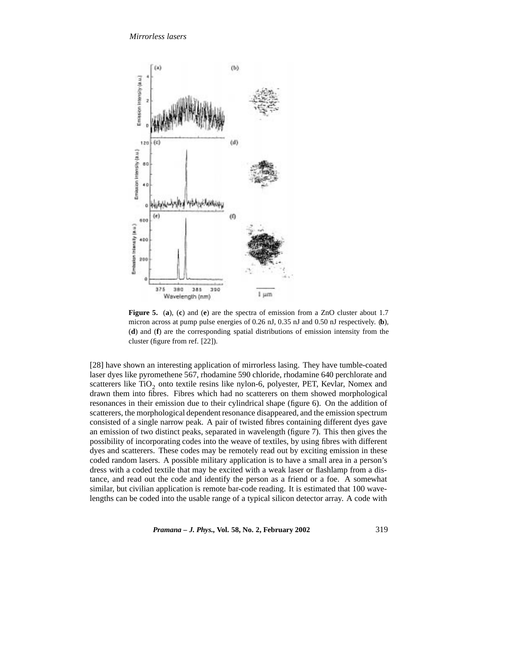

**Figure 5.** (**a**), (**c**) and (**e**) are the spectra of emission from a ZnO cluster about 1.7 micron across at pump pulse energies of 0.26 nJ, 0.35 nJ and 0.50 nJ respectively. (**b**), (**d**) and (**f**) are the corresponding spatial distributions of emission intensity from the cluster (figure from ref. [22]).

[28] have shown an interesting application of mirrorless lasing. They have tumble-coated laser dyes like pyromethene 567, rhodamine 590 chloride, rhodamine 640 perchlorate and scatterers like  $TiO<sub>2</sub>$  onto textile resins like nylon-6, polyester, PET, Kevlar, Nomex and drawn them into fibres. Fibres which had no scatterers on them showed morphological resonances in their emission due to their cylindrical shape (figure 6). On the addition of scatterers, the morphological dependent resonance disappeared, and the emission spectrum consisted of a single narrow peak. A pair of twisted fibres containing different dyes gave an emission of two distinct peaks, separated in wavelength (figure 7). This then gives the possibility of incorporating codes into the weave of textiles, by using fibres with different dyes and scatterers. These codes may be remotely read out by exciting emission in these coded random lasers. A possible military application is to have a small area in a person's dress with a coded textile that may be excited with a weak laser or flashlamp from a distance, and read out the code and identify the person as a friend or a foe. A somewhat similar, but civilian application is remote bar-code reading. It is estimated that 100 wavelengths can be coded into the usable range of a typical silicon detector array. A code with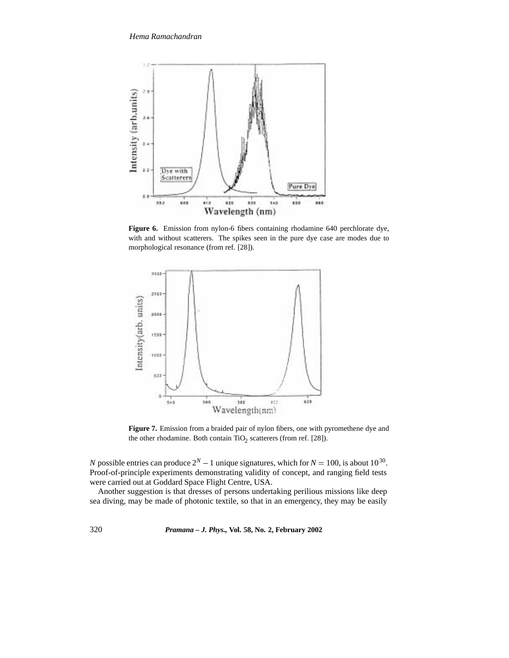

**Figure 6.** Emission from nylon-6 fibers containing rhodamine 640 perchlorate dye, with and without scatterers. The spikes seen in the pure dye case are modes due to morphological resonance (from ref. [28]).



**Figure 7.** Emission from a braided pair of nylon fibers, one with pyromethene dye and the other rhodamine. Both contain  $TiO<sub>2</sub>$  scatterers (from ref. [28]).

*N* possible entries can produce  $2^N - 1$  unique signatures, which for  $N = 100$ , is about  $10^{30}$ . Proof-of-principle experiments demonstrating validity of concept, and ranging field tests were carried out at Goddard Space Flight Centre, USA.

Another suggestion is that dresses of persons undertaking perilious missions like deep sea diving, may be made of photonic textile, so that in an emergency, they may be easily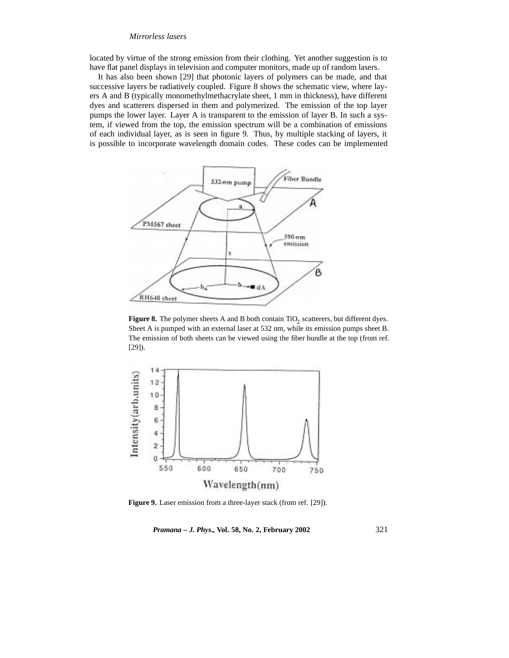# *Mirrorless lasers*

located by virtue of the strong emission from their clothing. Yet another suggestion is to have flat panel displays in television and computer monitors, made up of random lasers.

It has also been shown [29] that photonic layers of polymers can be made, and that successive layers be radiatively coupled. Figure 8 shows the schematic view, where layers A and B (typically monomethylmethacrylate sheet, 1 mm in thickness), have different dyes and scatterers dispersed in them and polymerized. The emission of the top layer pumps the lower layer. Layer A is transparent to the emission of layer B. In such a system, if viewed from the top, the emission spectrum will be a combination of emissions of each individual layer, as is seen in figure 9. Thus, by multiple stacking of layers, it is possible to incorporate wavelength domain codes. These codes can be implemented



Figure 8. The polymer sheets A and B both contain TiO<sub>2</sub> scatterers, but different dyes. Sheet A is pumped with an external laser at 532 nm, while its emission pumps sheet B. The emission of both sheets can be viewed using the fiber bundle at the top (from ref. [29]).



**Figure 9.** Laser emission from a three-layer stack (from ref. [29]).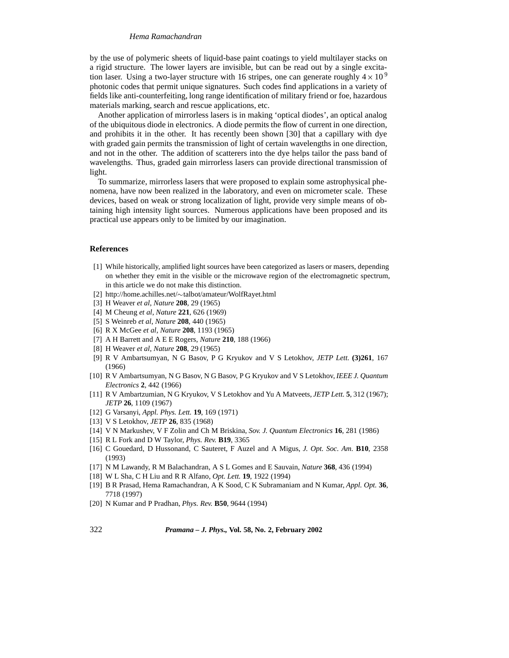by the use of polymeric sheets of liquid-base paint coatings to yield multilayer stacks on a rigid structure. The lower layers are invisible, but can be read out by a single excitation laser. Using a two-layer structure with 16 stripes, one can generate roughly  $4 \times 10^9$ photonic codes that permit unique signatures. Such codes find applications in a variety of fields like anti-counterfeiting, long range identification of military friend or foe, hazardous materials marking, search and rescue applications, etc.

Another application of mirrorless lasers is in making 'optical diodes', an optical analog of the ubiquitous diode in electronics. A diode permits the flow of current in one direction, and prohibits it in the other. It has recently been shown [30] that a capillary with dye with graded gain permits the transmission of light of certain wavelengths in one direction, and not in the other. The addition of scatterers into the dye helps tailor the pass band of wavelengths. Thus, graded gain mirrorless lasers can provide directional transmission of light.

To summarize, mirrorless lasers that were proposed to explain some astrophysical phenomena, have now been realized in the laboratory, and even on micrometer scale. These devices, based on weak or strong localization of light, provide very simple means of obtaining high intensity light sources. Numerous applications have been proposed and its practical use appears only to be limited by our imagination.

#### **References**

- [1] While historically, amplified light sources have been categorized as lasers or masers, depending on whether they emit in the visible or the microwave region of the electromagnetic spectrum, in this article we do not make this distinction.
- [2] http://home.achilles.net/ $\sim$ talbot/amateur/WolfRayet.html
- [3] H Weaver *et al*, *Nature* **208**, 29 (1965)
- [4] M Cheung *et al*, *Nature* **221**, 626 (1969)
- [5] S Weinreb *et al*, *Nature* **208**, 440 (1965)
- [6] R X McGee *et al*, *Nature* **208**, 1193 (1965)
- [7] A H Barrett and A E E Rogers, *Nature* **210**, 188 (1966)
- [8] H Weaver *et al*, *Nature* **208**, 29 (1965)
- [9] R V Ambartsumyan, N G Basov, P G Kryukov and V S Letokhov, *JETP Lett.* **(3)261**, 167 (1966)
- [10] R V Ambartsumyan, N G Basov, N G Basov, P G Kryukov and V S Letokhov, *IEEE J. Quantum Electronics* **2**, 442 (1966)
- [11] R V Ambartzumian, N G Kryukov, V S Letokhov and Yu A Matveets, *JETP Lett.* **5**, 312 (1967); *JETP* **26**, 1109 (1967)
- [12] G Varsanyi, *Appl. Phys. Lett.* **19**, 169 (1971)
- [13] V S Letokhov, *JETP* **26**, 835 (1968)
- [14] V N Markushev, V F Zolin and Ch M Briskina, *Sov. J. Quantum Electronics* **16**, 281 (1986)
- [15] R L Fork and D W Taylor, *Phys. Rev.* **B19**, 3365
- [16] C Gouedard, D Hussonand, C Sauteret, F Auzel and A Migus, *J. Opt. Soc. Am.* **B10**, 2358 (1993)
- [17] N M Lawandy, R M Balachandran, A S L Gomes and E Sauvain, *Nature* **368**, 436 (1994)
- [18] W L Sha, C H Liu and R R Alfano, *Opt. Lett.* **19**, 1922 (1994)
- [19] B R Prasad, Hema Ramachandran, A K Sood, C K Subramaniam and N Kumar, *Appl. Opt.* **36**, 7718 (1997)
- [20] N Kumar and P Pradhan, *Phys. Rev.* **B50**, 9644 (1994)